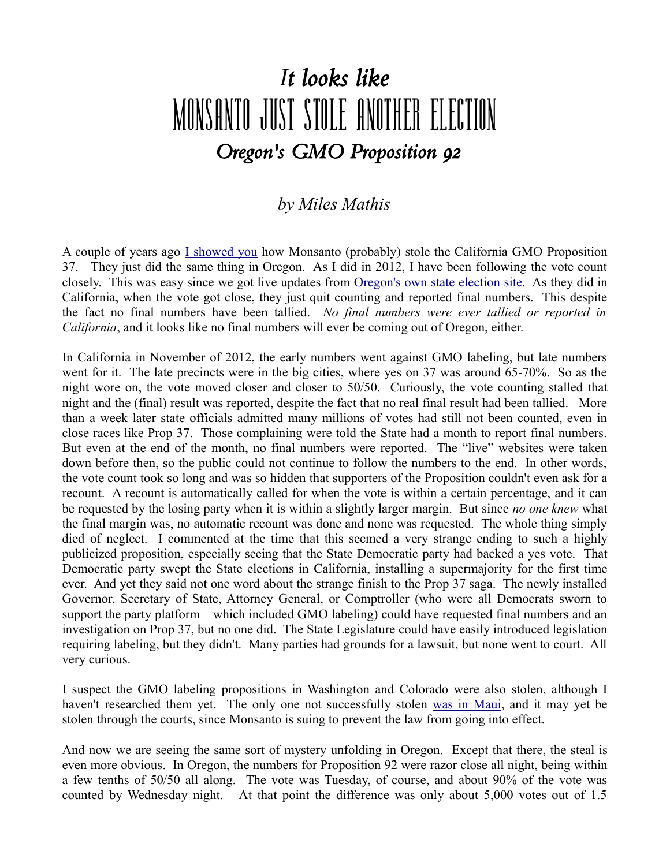## *It looks like* MONSANTO JUST STOLE ANOTHER ELECTION *Oregon's GMO Proposition 92*

## *by Miles Mathis*

A couple of years ago [I showed you](http://mileswmathis.com/vote.pdf) how Monsanto (probably) stole the California GMO Proposition 37. They just did the same thing in Oregon. As I did in 2012, I have been following the vote count closely. This was easy since we got live updates from **Oregon's own state election site**. As they did in California, when the vote got close, they just quit counting and reported final numbers. This despite the fact no final numbers have been tallied. *No final numbers were ever tallied or reported in California*, and it looks like no final numbers will ever be coming out of Oregon, either.

In California in November of 2012, the early numbers went against GMO labeling, but late numbers went for it. The late precincts were in the big cities, where yes on 37 was around 65-70%. So as the night wore on, the vote moved closer and closer to 50/50. Curiously, the vote counting stalled that night and the (final) result was reported, despite the fact that no real final result had been tallied. More than a week later state officials admitted many millions of votes had still not been counted, even in close races like Prop 37. Those complaining were told the State had a month to report final numbers. But even at the end of the month, no final numbers were reported. The "live" websites were taken down before then, so the public could not continue to follow the numbers to the end. In other words, the vote count took so long and was so hidden that supporters of the Proposition couldn't even ask for a recount. A recount is automatically called for when the vote is within a certain percentage, and it can be requested by the losing party when it is within a slightly larger margin. But since *no one knew* what the final margin was, no automatic recount was done and none was requested. The whole thing simply died of neglect. I commented at the time that this seemed a very strange ending to such a highly publicized proposition, especially seeing that the State Democratic party had backed a yes vote. That Democratic party swept the State elections in California, installing a supermajority for the first time ever. And yet they said not one word about the strange finish to the Prop 37 saga. The newly installed Governor, Secretary of State, Attorney General, or Comptroller (who were all Democrats sworn to support the party platform—which included GMO labeling) could have requested final numbers and an investigation on Prop 37, but no one did. The State Legislature could have easily introduced legislation requiring labeling, but they didn't. Many parties had grounds for a lawsuit, but none went to court. All very curious.

I suspect the GMO labeling propositions in Washington and Colorado were also stolen, although I haven't researched them yet. The only one not successfully stolen [was in Maui,](http://mauinow.com/2014/11/05/monsanto-to-file-lawsuit-challenging-maui-gmo-moratorium/) and it may yet be stolen through the courts, since Monsanto is suing to prevent the law from going into effect.

And now we are seeing the same sort of mystery unfolding in Oregon. Except that there, the steal is even more obvious. In Oregon, the numbers for Proposition 92 were razor close all night, being within a few tenths of 50/50 all along. The vote was Tuesday, of course, and about 90% of the vote was counted by Wednesday night. At that point the difference was only about 5,000 votes out of 1.5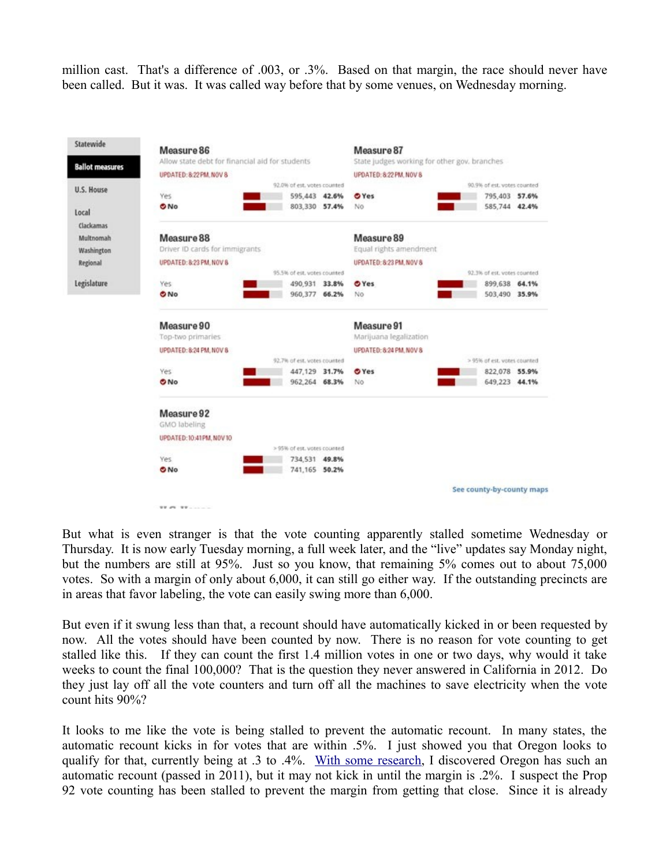million cast. That's a difference of .003, or .3%. Based on that margin, the race should never have been called. But it was. It was called way before that by some venues, on Wednesday morning.



But what is even stranger is that the vote counting apparently stalled sometime Wednesday or Thursday. It is now early Tuesday morning, a full week later, and the "live" updates say Monday night, but the numbers are still at 95%. Just so you know, that remaining 5% comes out to about 75,000 votes. So with a margin of only about 6,000, it can still go either way. If the outstanding precincts are in areas that favor labeling, the vote can easily swing more than 6,000.

But even if it swung less than that, a recount should have automatically kicked in or been requested by now. All the votes should have been counted by now. There is no reason for vote counting to get stalled like this. If they can count the first 1.4 million votes in one or two days, why would it take weeks to count the final 100,000? That is the question they never answered in California in 2012. Do they just lay off all the vote counters and turn off all the machines to save electricity when the vote count hits 90%?

It looks to me like the vote is being stalled to prevent the automatic recount. In many states, the automatic recount kicks in for votes that are within .5%. I just showed you that Oregon looks to qualify for that, currently being at .3 to .4%. [With some research,](http://cc.bingj.com/cache.aspx?q=oregon+automatic+recount&d=4898347110173034&mkt=en-US&setlang=en-US&w=tlHpVvY6RiezgrMizNmM5oj0J5y90JdE) I discovered Oregon has such an automatic recount (passed in 2011), but it may not kick in until the margin is .2%. I suspect the Prop 92 vote counting has been stalled to prevent the margin from getting that close. Since it is already